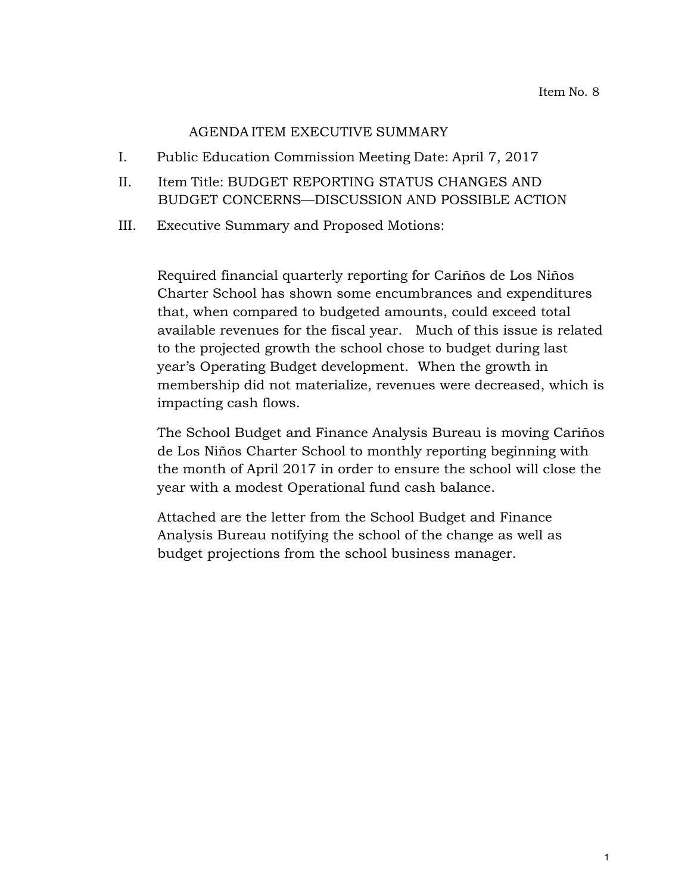## AGENDA ITEM EXECUTIVE SUMMARY

- I. Public Education Commission Meeting Date: April 7, 2017
- II. Item Title: BUDGET REPORTING STATUS CHANGES AND BUDGET CONCERNS—DISCUSSION AND POSSIBLE ACTION
- III. Executive Summary and Proposed Motions:

Required financial quarterly reporting for Cariños de Los Niños Charter School has shown some encumbrances and expenditures that, when compared to budgeted amounts, could exceed total available revenues for the fiscal year. Much of this issue is related to the projected growth the school chose to budget during last year's Operating Budget development. When the growth in membership did not materialize, revenues were decreased, which is impacting cash flows.

The School Budget and Finance Analysis Bureau is moving Cariños de Los Niños Charter School to monthly reporting beginning with the month of April 2017 in order to ensure the school will close the year with a modest Operational fund cash balance.

Attached are the letter from the School Budget and Finance Analysis Bureau notifying the school of the change as well as budget projections from the school business manager.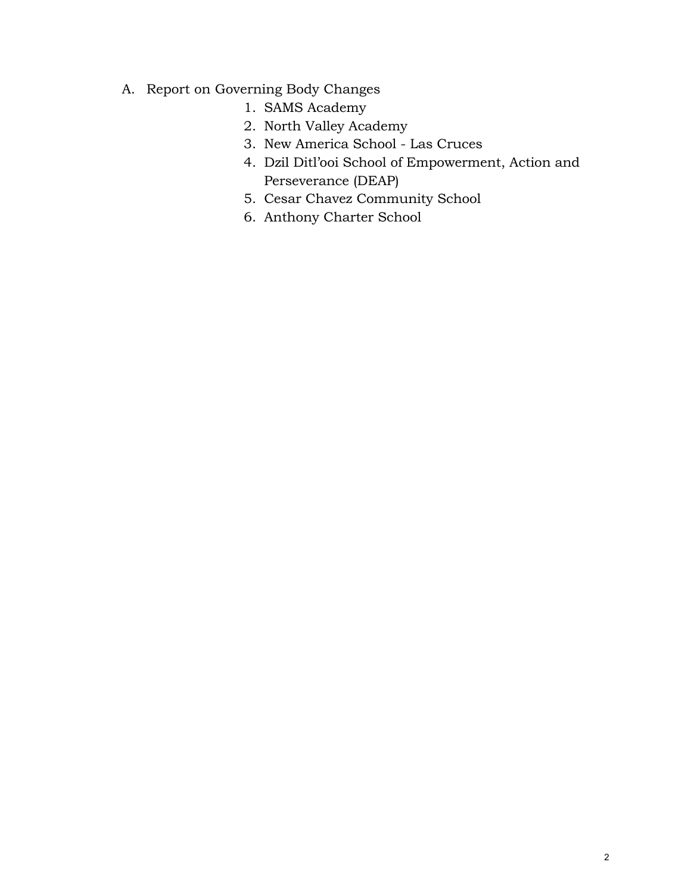- A. Report on Governing Body Changes
	- 1. SAMS Academy
	- 2. North Valley Academy
	- 3. New America School Las Cruces
	- 4. Dzil Ditl'ooi School of Empowerment, Action and Perseverance (DEAP)
	- 5. Cesar Chavez Community School
	- 6. Anthony Charter School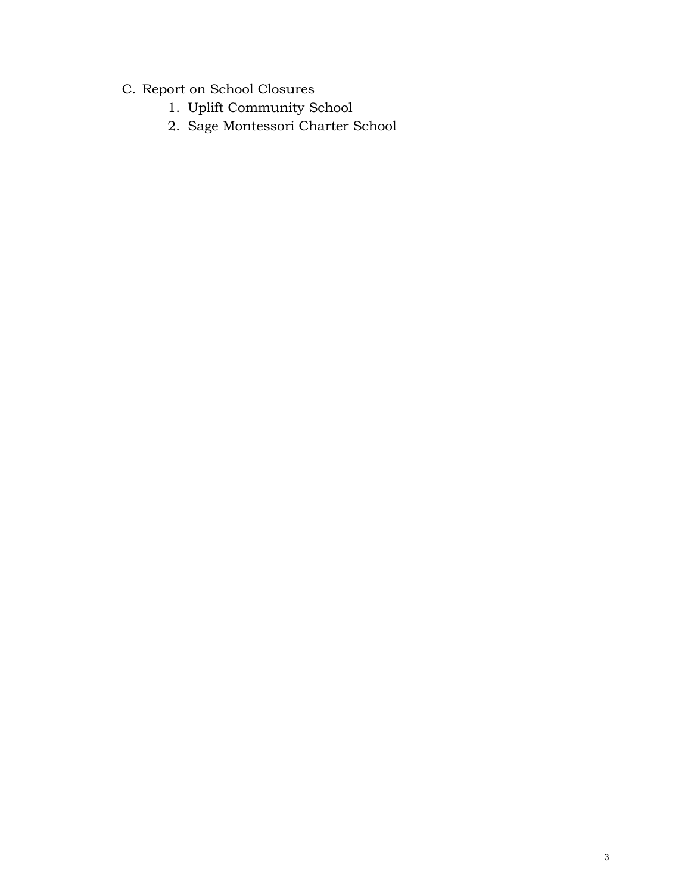- C. Report on School Closures
	- 1. Uplift Community School
	- 2. Sage Montessori Charter School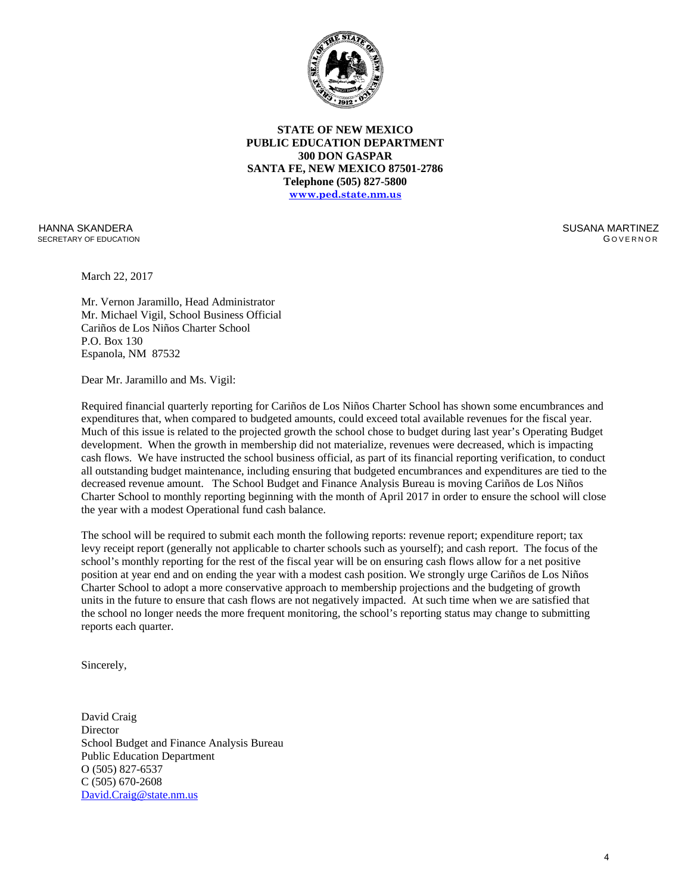

**STATE OF NEW MEXICO PUBLIC EDUCATION DEPARTMENT 300 DON GASPAR SANTA FE, NEW MEXICO 87501-2786 Telephone (505) 827-5800 [www.ped.state.nm.us](http://www.sde.state.nm.us/)**

HANNA SKANDERA SECRETARY OF EDUCATION  SUSANA MARTINEZ G OVERNOR

March 22, 2017

Mr. Vernon Jaramillo, Head Administrator Mr. Michael Vigil, School Business Official Cariños de Los Niños Charter School P.O. Box 130 Espanola, NM 87532

Dear Mr. Jaramillo and Ms. Vigil:

Required financial quarterly reporting for Cariños de Los Niños Charter School has shown some encumbrances and expenditures that, when compared to budgeted amounts, could exceed total available revenues for the fiscal year. Much of this issue is related to the projected growth the school chose to budget during last year's Operating Budget development. When the growth in membership did not materialize, revenues were decreased, which is impacting cash flows. We have instructed the school business official, as part of its financial reporting verification, to conduct all outstanding budget maintenance, including ensuring that budgeted encumbrances and expenditures are tied to the decreased revenue amount. The School Budget and Finance Analysis Bureau is moving Cariños de Los Niños Charter School to monthly reporting beginning with the month of April 2017 in order to ensure the school will close the year with a modest Operational fund cash balance.

The school will be required to submit each month the following reports: revenue report; expenditure report; tax levy receipt report (generally not applicable to charter schools such as yourself); and cash report. The focus of the school's monthly reporting for the rest of the fiscal year will be on ensuring cash flows allow for a net positive position at year end and on ending the year with a modest cash position. We strongly urge Cariños de Los Niños Charter School to adopt a more conservative approach to membership projections and the budgeting of growth units in the future to ensure that cash flows are not negatively impacted. At such time when we are satisfied that the school no longer needs the more frequent monitoring, the school's reporting status may change to submitting reports each quarter.

Sincerely,

David Craig **Director** School Budget and Finance Analysis Bureau Public Education Department O (505) 827-6537 C (505) 670-2608 [David.Craig@state.nm.us](mailto:David.Craig@state.nm.us)